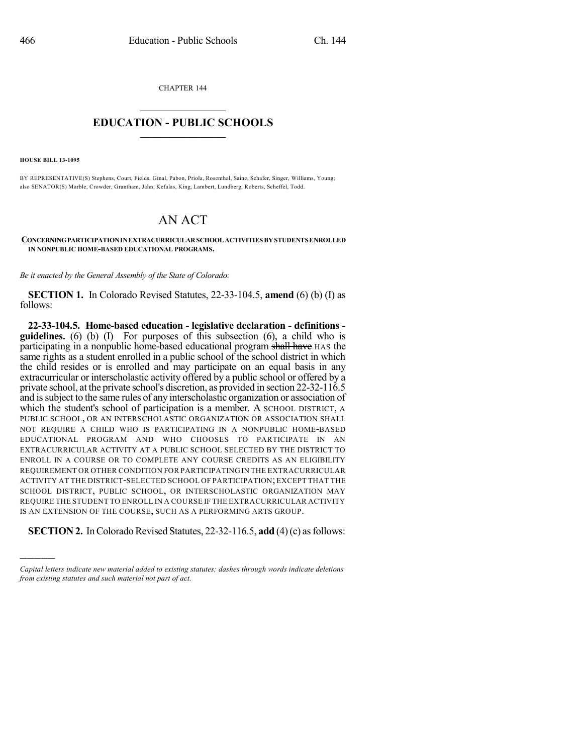CHAPTER 144

## $\mathcal{L}_\text{max}$  . The set of the set of the set of the set of the set of the set of the set of the set of the set of the set of the set of the set of the set of the set of the set of the set of the set of the set of the set **EDUCATION - PUBLIC SCHOOLS**  $\_$   $\_$   $\_$   $\_$   $\_$   $\_$   $\_$   $\_$   $\_$

**HOUSE BILL 13-1095**

)))))

BY REPRESENTATIVE(S) Stephens, Court, Fields, Ginal, Pabon, Priola, Rosenthal, Saine, Schafer, Singer, Williams, Young; also SENATOR(S) Marble, Crowder, Grantham, Jahn, Kefalas, King, Lambert, Lundberg, Roberts, Scheffel, Todd.

## AN ACT

**CONCERNINGPARTICIPATIONINEXTRACURRICULARSCHOOL ACTIVITIES BY STUDENTSENROLLED IN NONPUBLIC HOME-BASED EDUCATIONAL PROGRAMS.**

*Be it enacted by the General Assembly of the State of Colorado:*

**SECTION 1.** In Colorado Revised Statutes, 22-33-104.5, **amend** (6) (b) (I) as follows:

**22-33-104.5. Home-based education - legislative declaration - definitions guidelines.** (6) (b) (I) For purposes of this subsection (6), a child who is participating in a nonpublic home-based educational program shall have HAS the same rights as a student enrolled in a public school of the school district in which the child resides or is enrolled and may participate on an equal basis in any extracurricular or interscholastic activity offered by a public school or offered by a private school, at the private school's discretion, as provided in section 22-32-116.5 and issubject to the same rules of any interscholastic organization or association of which the student's school of participation is a member. A SCHOOL DISTRICT, A PUBLIC SCHOOL, OR AN INTERSCHOLASTIC ORGANIZATION OR ASSOCIATION SHALL NOT REQUIRE A CHILD WHO IS PARTICIPATING IN A NONPUBLIC HOME-BASED EDUCATIONAL PROGRAM AND WHO CHOOSES TO PARTICIPATE IN AN EXTRACURRICULAR ACTIVITY AT A PUBLIC SCHOOL SELECTED BY THE DISTRICT TO ENROLL IN A COURSE OR TO COMPLETE ANY COURSE CREDITS AS AN ELIGIBILITY REQUIREMENT OR OTHER CONDITION FOR PARTICIPATING IN THE EXTRACURRICULAR ACTIVITY AT THE DISTRICT-SELECTED SCHOOL OF PARTICIPATION;EXCEPT THAT THE SCHOOL DISTRICT, PUBLIC SCHOOL, OR INTERSCHOLASTIC ORGANIZATION MAY REQUIRE THE STUDENT TO ENROLL IN A COURSE IF THE EXTRACURRICULAR ACTIVITY IS AN EXTENSION OF THE COURSE, SUCH AS A PERFORMING ARTS GROUP.

**SECTION 2.** In Colorado Revised Statutes, 22-32-116.5, **add** (4)(c) as follows:

*Capital letters indicate new material added to existing statutes; dashes through words indicate deletions from existing statutes and such material not part of act.*